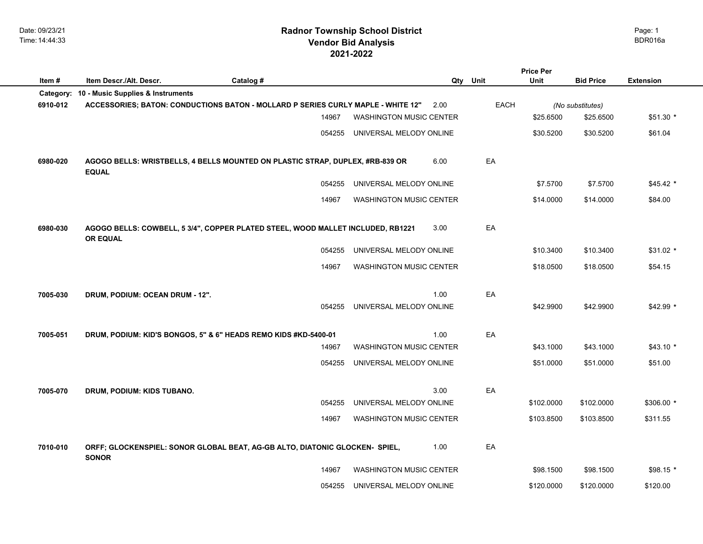|          |                                                                 |                                                                                  |                                |      |          | <b>Price Per</b> |                  |                  |
|----------|-----------------------------------------------------------------|----------------------------------------------------------------------------------|--------------------------------|------|----------|------------------|------------------|------------------|
| Item#    | Item Descr./Alt. Descr.                                         | Catalog #                                                                        |                                |      | Qty Unit | Unit             | <b>Bid Price</b> | <b>Extension</b> |
|          | Category: 10 - Music Supplies & Instruments                     |                                                                                  |                                |      |          |                  |                  |                  |
| 6910-012 |                                                                 | ACCESSORIES; BATON: CONDUCTIONS BATON - MOLLARD P SERIES CURLY MAPLE - WHITE 12" |                                | 2.00 | EACH     |                  | (No substitutes) |                  |
|          |                                                                 | 14967                                                                            | <b>WASHINGTON MUSIC CENTER</b> |      |          | \$25.6500        | \$25.6500        | $$51.30*$        |
|          |                                                                 | 054255                                                                           | UNIVERSAL MELODY ONLINE        |      |          | \$30.5200        | \$30.5200        | \$61.04          |
| 6980-020 | <b>EQUAL</b>                                                    | AGOGO BELLS: WRISTBELLS, 4 BELLS MOUNTED ON PLASTIC STRAP, DUPLEX, #RB-839 OR    |                                | 6.00 | EA       |                  |                  |                  |
|          |                                                                 | 054255                                                                           | UNIVERSAL MELODY ONLINE        |      |          | \$7.5700         | \$7.5700         | $$45.42$ *       |
|          |                                                                 | 14967                                                                            | <b>WASHINGTON MUSIC CENTER</b> |      |          | \$14,0000        | \$14,0000        | \$84.00          |
| 6980-030 | <b>OR EQUAL</b>                                                 | AGOGO BELLS: COWBELL, 5 3/4", COPPER PLATED STEEL, WOOD MALLET INCLUDED, RB1221  |                                | 3.00 | EA       |                  |                  |                  |
|          |                                                                 | 054255                                                                           | UNIVERSAL MELODY ONLINE        |      |          | \$10.3400        | \$10.3400        | \$31.02 *        |
|          |                                                                 | 14967                                                                            | <b>WASHINGTON MUSIC CENTER</b> |      |          | \$18.0500        | \$18.0500        | \$54.15          |
| 7005-030 | DRUM, PODIUM: OCEAN DRUM - 12".                                 | 054255                                                                           | UNIVERSAL MELODY ONLINE        | 1.00 | EA       | \$42.9900        | \$42.9900        | $$42.99$ *       |
| 7005-051 | DRUM, PODIUM: KID'S BONGOS, 5" & 6" HEADS REMO KIDS #KD-5400-01 |                                                                                  |                                | 1.00 | EA       |                  |                  |                  |
|          |                                                                 | 14967                                                                            | <b>WASHINGTON MUSIC CENTER</b> |      |          | \$43.1000        | \$43.1000        | $$43.10*$        |
|          |                                                                 | 054255                                                                           | UNIVERSAL MELODY ONLINE        |      |          | \$51.0000        | \$51.0000        | \$51.00          |
|          |                                                                 |                                                                                  |                                |      |          |                  |                  |                  |
| 7005-070 | DRUM, PODIUM: KIDS TUBANO.                                      | 054255                                                                           | UNIVERSAL MELODY ONLINE        | 3.00 | EA       | \$102.0000       | \$102.0000       | $$306.00*$       |
|          |                                                                 | 14967                                                                            | <b>WASHINGTON MUSIC CENTER</b> |      |          | \$103.8500       | \$103.8500       | \$311.55         |
| 7010-010 | <b>SONOR</b>                                                    | ORFF; GLOCKENSPIEL: SONOR GLOBAL BEAT, AG-GB ALTO, DIATONIC GLOCKEN- SPIEL,      |                                | 1.00 | EA       |                  |                  |                  |
|          |                                                                 | 14967                                                                            | <b>WASHINGTON MUSIC CENTER</b> |      |          | \$98.1500        | \$98.1500        | $$98.15*$        |
|          |                                                                 | 054255                                                                           | UNIVERSAL MELODY ONLINE        |      |          | \$120.0000       | \$120.0000       | \$120.00         |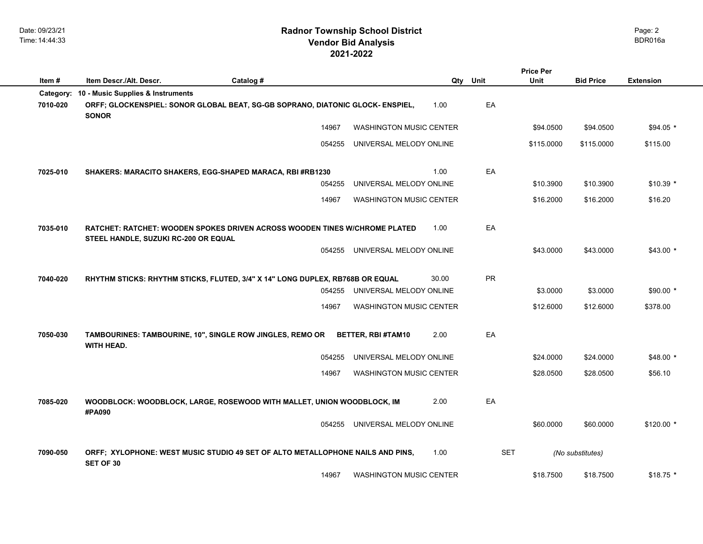|           |                                      |                                                                                |                                |       |            | <b>Price Per</b> |                  |                  |
|-----------|--------------------------------------|--------------------------------------------------------------------------------|--------------------------------|-------|------------|------------------|------------------|------------------|
| Item#     | Item Descr./Alt. Descr.              | Catalog #                                                                      |                                | Qty   | Unit       | Unit             | <b>Bid Price</b> | <b>Extension</b> |
| Category: | 10 - Music Supplies & Instruments    |                                                                                |                                |       |            |                  |                  |                  |
| 7010-020  | <b>SONOR</b>                         | ORFF; GLOCKENSPIEL: SONOR GLOBAL BEAT, SG-GB SOPRANO, DIATONIC GLOCK- ENSPIEL, |                                | 1.00  | EA         |                  |                  |                  |
|           |                                      | 14967                                                                          | <b>WASHINGTON MUSIC CENTER</b> |       |            | \$94.0500        | \$94.0500        | $$94.05*$        |
|           |                                      | 054255                                                                         | UNIVERSAL MELODY ONLINE        |       |            | \$115.0000       | \$115.0000       | \$115.00         |
| 7025-010  |                                      | SHAKERS: MARACITO SHAKERS, EGG-SHAPED MARACA, RBI #RB1230                      |                                | 1.00  | EA         |                  |                  |                  |
|           |                                      | 054255                                                                         | UNIVERSAL MELODY ONLINE        |       |            | \$10.3900        | \$10.3900        | $$10.39$ *       |
|           |                                      | 14967                                                                          | <b>WASHINGTON MUSIC CENTER</b> |       |            | \$16.2000        | \$16.2000        | \$16.20          |
| 7035-010  | STEEL HANDLE, SUZUKI RC-200 OR EQUAL | RATCHET: RATCHET: WOODEN SPOKES DRIVEN ACROSS WOODEN TINES W/CHROME PLATED     |                                | 1.00  | EA         |                  |                  |                  |
|           |                                      | 054255                                                                         | UNIVERSAL MELODY ONLINE        |       |            | \$43.0000        | \$43.0000        | \$43.00 *        |
| 7040-020  |                                      | RHYTHM STICKS: RHYTHM STICKS, FLUTED, 3/4" X 14" LONG DUPLEX, RB768B OR EQUAL  |                                | 30.00 | PR         |                  |                  |                  |
|           |                                      | 054255                                                                         | UNIVERSAL MELODY ONLINE        |       |            | \$3.0000         | \$3.0000         | $$90.00*$        |
|           |                                      | 14967                                                                          | <b>WASHINGTON MUSIC CENTER</b> |       |            | \$12.6000        | \$12.6000        | \$378.00         |
| 7050-030  | <b>WITH HEAD.</b>                    | TAMBOURINES: TAMBOURINE, 10", SINGLE ROW JINGLES, REMO OR                      | <b>BETTER, RBI #TAM10</b>      | 2.00  | EA         |                  |                  |                  |
|           |                                      | 054255                                                                         | UNIVERSAL MELODY ONLINE        |       |            | \$24.0000        | \$24.0000        | \$48.00 *        |
|           |                                      | 14967                                                                          | <b>WASHINGTON MUSIC CENTER</b> |       |            | \$28.0500        | \$28.0500        | \$56.10          |
| 7085-020  | #PA090                               | WOODBLOCK: WOODBLOCK, LARGE, ROSEWOOD WITH MALLET, UNION WOODBLOCK, IM         |                                | 2.00  | EA         |                  |                  |                  |
|           |                                      | 054255                                                                         | UNIVERSAL MELODY ONLINE        |       |            | \$60.0000        | \$60.0000        | $$120.00*$       |
| 7090-050  | SET OF 30                            | ORFF; XYLOPHONE: WEST MUSIC STUDIO 49 SET OF ALTO METALLOPHONE NAILS AND PINS, |                                | 1.00  | <b>SET</b> |                  | (No substitutes) |                  |
|           |                                      | 14967                                                                          | <b>WASHINGTON MUSIC CENTER</b> |       |            | \$18.7500        | \$18.7500        | $$18.75$ *       |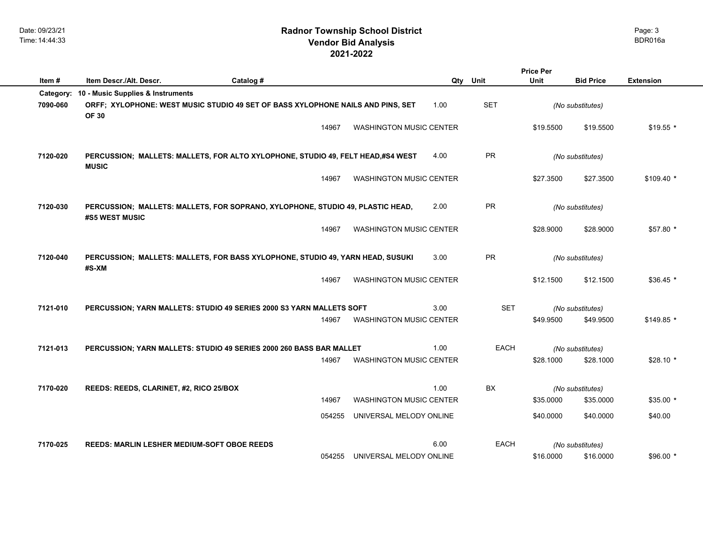|           |                                                    |                                                                                 |        |                                |      |             | <b>Price Per</b> |                  |                  |
|-----------|----------------------------------------------------|---------------------------------------------------------------------------------|--------|--------------------------------|------|-------------|------------------|------------------|------------------|
| Item#     | Item Descr./Alt. Descr.                            | Catalog #                                                                       |        |                                | Qty  | Unit        | Unit             | <b>Bid Price</b> | <b>Extension</b> |
| Category: | 10 - Music Supplies & Instruments                  |                                                                                 |        |                                |      |             |                  |                  |                  |
| 7090-060  | <b>OF 30</b>                                       | ORFF; XYLOPHONE: WEST MUSIC STUDIO 49 SET OF BASS XYLOPHONE NAILS AND PINS, SET |        |                                | 1.00 | <b>SET</b>  |                  | (No substitutes) |                  |
|           |                                                    |                                                                                 | 14967  | <b>WASHINGTON MUSIC CENTER</b> |      |             | \$19.5500        | \$19.5500        | $$19.55$ *       |
| 7120-020  | <b>MUSIC</b>                                       | PERCUSSION; MALLETS: MALLETS, FOR ALTO XYLOPHONE, STUDIO 49, FELT HEAD,#S4 WEST |        |                                | 4.00 | PR          |                  | (No substitutes) |                  |
|           |                                                    |                                                                                 | 14967  | <b>WASHINGTON MUSIC CENTER</b> |      |             | \$27.3500        | \$27.3500        | $$109.40$ *      |
| 7120-030  | #S5 WEST MUSIC                                     | PERCUSSION; MALLETS: MALLETS, FOR SOPRANO, XYLOPHONE, STUDIO 49, PLASTIC HEAD,  |        |                                | 2.00 | PR          |                  | (No substitutes) |                  |
|           |                                                    |                                                                                 | 14967  | <b>WASHINGTON MUSIC CENTER</b> |      |             | \$28.9000        | \$28.9000        | \$57.80 *        |
| 7120-040  | #S-XM                                              | PERCUSSION; MALLETS: MALLETS, FOR BASS XYLOPHONE, STUDIO 49, YARN HEAD, SUSUKI  |        |                                | 3.00 | <b>PR</b>   |                  | (No substitutes) |                  |
|           |                                                    |                                                                                 | 14967  | <b>WASHINGTON MUSIC CENTER</b> |      |             | \$12.1500        | \$12.1500        | $$36.45$ *       |
| 7121-010  |                                                    | PERCUSSION; YARN MALLETS: STUDIO 49 SERIES 2000 S3 YARN MALLETS SOFT            |        |                                | 3.00 | <b>SET</b>  |                  | (No substitutes) |                  |
|           |                                                    |                                                                                 | 14967  | <b>WASHINGTON MUSIC CENTER</b> |      |             | \$49,9500        | \$49.9500        | $$149.85$ *      |
| 7121-013  |                                                    | PERCUSSION; YARN MALLETS: STUDIO 49 SERIES 2000 260 BASS BAR MALLET             |        |                                | 1.00 | <b>EACH</b> |                  | (No substitutes) |                  |
|           |                                                    |                                                                                 | 14967  | <b>WASHINGTON MUSIC CENTER</b> |      |             | \$28,1000        | \$28,1000        | $$28.10*$        |
| 7170-020  | REEDS: REEDS, CLARINET, #2, RICO 25/BOX            |                                                                                 |        |                                | 1.00 | <b>BX</b>   |                  | (No substitutes) |                  |
|           |                                                    |                                                                                 | 14967  | <b>WASHINGTON MUSIC CENTER</b> |      |             | \$35.0000        | \$35.0000        | $$35.00*$        |
|           |                                                    |                                                                                 | 054255 | UNIVERSAL MELODY ONLINE        |      |             | \$40.0000        | \$40.0000        | \$40.00          |
| 7170-025  | <b>REEDS: MARLIN LESHER MEDIUM-SOFT OBOE REEDS</b> |                                                                                 |        |                                | 6.00 | EACH        |                  | (No substitutes) |                  |
|           |                                                    |                                                                                 | 054255 | UNIVERSAL MELODY ONLINE        |      |             | \$16.0000        | \$16.0000        | $$96.00*$        |
|           |                                                    |                                                                                 |        |                                |      |             |                  |                  |                  |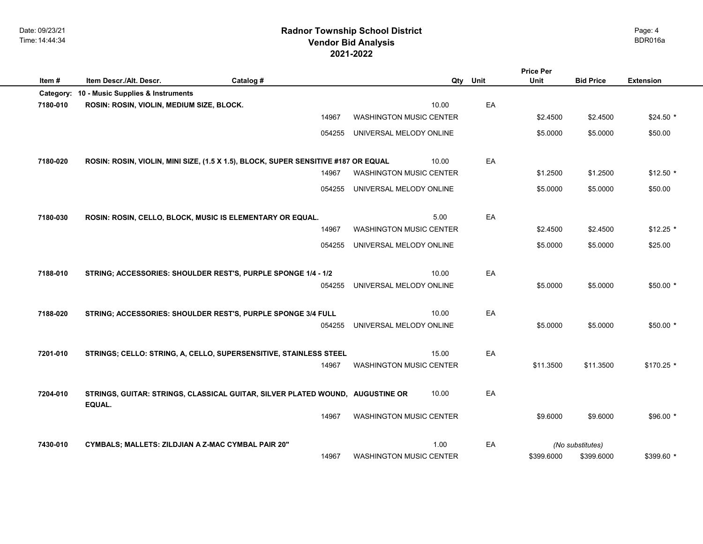| Item#     | Item Descr./Alt. Descr.                            | Catalog #                                                                          |        |                                | Qty   | Unit | <b>Price Per</b><br>Unit | <b>Bid Price</b> | <b>Extension</b> |  |
|-----------|----------------------------------------------------|------------------------------------------------------------------------------------|--------|--------------------------------|-------|------|--------------------------|------------------|------------------|--|
| Category: | 10 - Music Supplies & Instruments                  |                                                                                    |        |                                |       |      |                          |                  |                  |  |
| 7180-010  | ROSIN: ROSIN, VIOLIN, MEDIUM SIZE, BLOCK.          |                                                                                    |        |                                | 10.00 | EA   |                          |                  |                  |  |
|           |                                                    |                                                                                    | 14967  | <b>WASHINGTON MUSIC CENTER</b> |       |      | \$2.4500                 | \$2.4500         | $$24.50*$        |  |
|           |                                                    |                                                                                    | 054255 | UNIVERSAL MELODY ONLINE        |       |      | \$5.0000                 | \$5.0000         | \$50.00          |  |
| 7180-020  |                                                    | ROSIN: ROSIN, VIOLIN, MINI SIZE, (1.5 X 1.5), BLOCK, SUPER SENSITIVE #187 OR EQUAL |        |                                | 10.00 | EA   |                          |                  |                  |  |
|           |                                                    |                                                                                    | 14967  | <b>WASHINGTON MUSIC CENTER</b> |       |      | \$1.2500                 | \$1.2500         | $$12.50$ *       |  |
|           |                                                    |                                                                                    | 054255 | UNIVERSAL MELODY ONLINE        |       |      | \$5.0000                 | \$5.0000         | \$50.00          |  |
| 7180-030  |                                                    | ROSIN: ROSIN, CELLO, BLOCK, MUSIC IS ELEMENTARY OR EQUAL.                          |        |                                | 5.00  | EA   |                          |                  |                  |  |
|           |                                                    |                                                                                    | 14967  | <b>WASHINGTON MUSIC CENTER</b> |       |      | \$2.4500                 | \$2.4500         | $$12.25$ *       |  |
|           |                                                    |                                                                                    | 054255 | UNIVERSAL MELODY ONLINE        |       |      | \$5.0000                 | \$5.0000         | \$25.00          |  |
| 7188-010  |                                                    | STRING; ACCESSORIES: SHOULDER REST'S, PURPLE SPONGE 1/4 - 1/2                      |        |                                | 10.00 | EA   |                          |                  |                  |  |
|           |                                                    |                                                                                    | 054255 | UNIVERSAL MELODY ONLINE        |       |      | \$5.0000                 | \$5.0000         | \$50.00 *        |  |
| 7188-020  |                                                    | STRING; ACCESSORIES: SHOULDER REST'S, PURPLE SPONGE 3/4 FULL                       |        |                                | 10.00 | EA   |                          |                  |                  |  |
|           |                                                    |                                                                                    | 054255 | UNIVERSAL MELODY ONLINE        |       |      | \$5.0000                 | \$5.0000         | $$50.00*$        |  |
| 7201-010  |                                                    | STRINGS; CELLO: STRING, A, CELLO, SUPERSENSITIVE, STAINLESS STEEL                  |        |                                | 15.00 | EA   |                          |                  |                  |  |
|           |                                                    |                                                                                    | 14967  | <b>WASHINGTON MUSIC CENTER</b> |       |      | \$11.3500                | \$11.3500        | $$170.25$ *      |  |
| 7204-010  | EQUAL.                                             | STRINGS, GUITAR: STRINGS, CLASSICAL GUITAR, SILVER PLATED WOUND, AUGUSTINE OR      |        |                                | 10.00 | EA   |                          |                  |                  |  |
|           |                                                    |                                                                                    | 14967  | <b>WASHINGTON MUSIC CENTER</b> |       |      | \$9.6000                 | \$9.6000         | $$96.00*$        |  |
| 7430-010  | CYMBALS; MALLETS: ZILDJIAN A Z-MAC CYMBAL PAIR 20" |                                                                                    |        |                                | 1.00  | EA   |                          | (No substitutes) |                  |  |
|           |                                                    |                                                                                    | 14967  | <b>WASHINGTON MUSIC CENTER</b> |       |      | \$399.6000               | \$399.6000       | \$399.60 *       |  |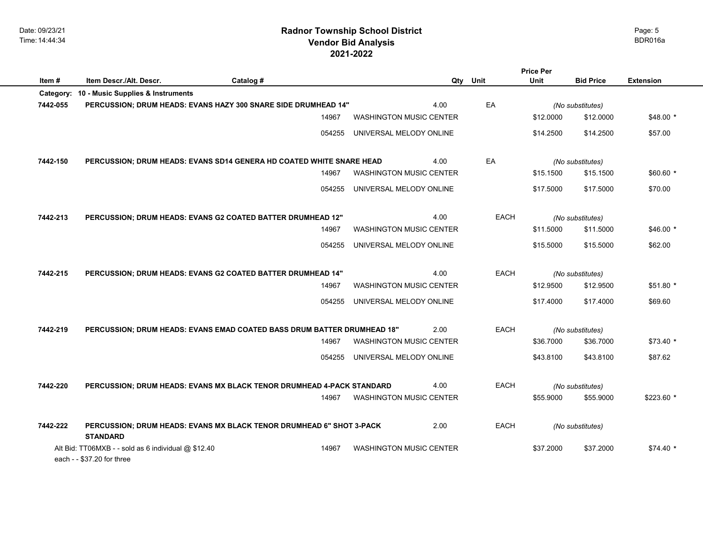| Item#    | Item Descr./Alt. Descr.                                                           | Catalog #                                                               | Qty                            | Unit        | Unit      | <b>Bid Price</b> | <b>Extension</b> |
|----------|-----------------------------------------------------------------------------------|-------------------------------------------------------------------------|--------------------------------|-------------|-----------|------------------|------------------|
|          | Category: 10 - Music Supplies & Instruments                                       |                                                                         |                                |             |           |                  |                  |
| 7442-055 |                                                                                   | PERCUSSION; DRUM HEADS: EVANS HAZY 300 SNARE SIDE DRUMHEAD 14"          | 4.00                           | EA          |           | (No substitutes) |                  |
|          |                                                                                   | 14967                                                                   | <b>WASHINGTON MUSIC CENTER</b> |             | \$12.0000 | \$12.0000        | $$48.00*$        |
|          |                                                                                   | 054255                                                                  | UNIVERSAL MELODY ONLINE        |             | \$14.2500 | \$14.2500        | \$57.00          |
| 7442-150 |                                                                                   | PERCUSSION; DRUM HEADS: EVANS SD14 GENERA HD COATED WHITE SNARE HEAD    | 4.00                           | EA          |           | (No substitutes) |                  |
|          |                                                                                   | 14967                                                                   | <b>WASHINGTON MUSIC CENTER</b> |             | \$15.1500 | \$15.1500        | $$60.60*$        |
|          |                                                                                   | 054255                                                                  | UNIVERSAL MELODY ONLINE        |             | \$17.5000 | \$17.5000        | \$70.00          |
| 7442-213 |                                                                                   | PERCUSSION; DRUM HEADS: EVANS G2 COATED BATTER DRUMHEAD 12"             | 4.00                           | EACH        |           | (No substitutes) |                  |
|          |                                                                                   | 14967                                                                   | <b>WASHINGTON MUSIC CENTER</b> |             | \$11.5000 | \$11.5000        | $$46.00*$        |
|          |                                                                                   | 054255                                                                  | UNIVERSAL MELODY ONLINE        |             | \$15.5000 | \$15.5000        | \$62.00          |
| 7442-215 |                                                                                   | PERCUSSION; DRUM HEADS: EVANS G2 COATED BATTER DRUMHEAD 14"             | 4.00                           | <b>EACH</b> |           | (No substitutes) |                  |
|          |                                                                                   | 14967                                                                   | <b>WASHINGTON MUSIC CENTER</b> |             | \$12.9500 | \$12.9500        | \$51.80 *        |
|          |                                                                                   | 054255                                                                  | UNIVERSAL MELODY ONLINE        |             | \$17.4000 | \$17.4000        | \$69.60          |
| 7442-219 |                                                                                   | PERCUSSION; DRUM HEADS: EVANS EMAD COATED BASS DRUM BATTER DRUMHEAD 18" | 2.00                           | <b>EACH</b> |           | (No substitutes) |                  |
|          |                                                                                   | 14967                                                                   | <b>WASHINGTON MUSIC CENTER</b> |             | \$36.7000 | \$36.7000        | $$73.40*$        |
|          |                                                                                   | 054255                                                                  | UNIVERSAL MELODY ONLINE        |             | \$43.8100 | \$43.8100        | \$87.62          |
| 7442-220 |                                                                                   | PERCUSSION; DRUM HEADS: EVANS MX BLACK TENOR DRUMHEAD 4-PACK STANDARD   | 4.00                           | <b>EACH</b> |           | (No substitutes) |                  |
|          |                                                                                   | 14967                                                                   | <b>WASHINGTON MUSIC CENTER</b> |             | \$55.9000 | \$55.9000        | $$223.60*$       |
| 7442-222 | <b>STANDARD</b>                                                                   | PERCUSSION; DRUM HEADS: EVANS MX BLACK TENOR DRUMHEAD 6" SHOT 3-PACK    | 2.00                           | <b>EACH</b> |           | (No substitutes) |                  |
|          | Alt Bid: TT06MXB - - sold as 6 individual @ \$12.40<br>each - - \$37.20 for three | 14967                                                                   | <b>WASHINGTON MUSIC CENTER</b> |             | \$37,2000 | \$37.2000        | $$74.40*$        |

Page: 5

**Price Per**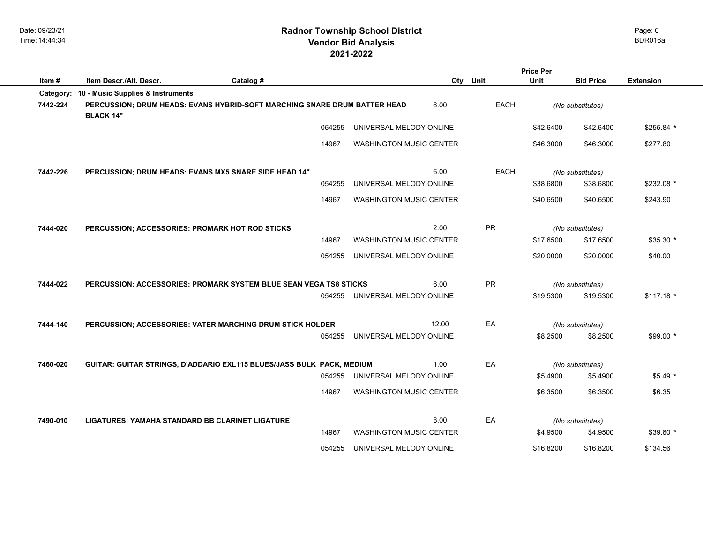|          | <b>Price Per</b>                                |                                                                           |        |                                |       |           |           |                  |                  |
|----------|-------------------------------------------------|---------------------------------------------------------------------------|--------|--------------------------------|-------|-----------|-----------|------------------|------------------|
| Item#    | Item Descr./Alt. Descr.                         | Catalog #                                                                 |        |                                |       | Qty Unit  | Unit      | <b>Bid Price</b> | <b>Extension</b> |
|          | Category: 10 - Music Supplies & Instruments     |                                                                           |        |                                |       |           |           |                  |                  |
| 7442-224 | <b>BLACK 14"</b>                                | PERCUSSION; DRUM HEADS: EVANS HYBRID-SOFT MARCHING SNARE DRUM BATTER HEAD |        |                                | 6.00  | EACH      |           | (No substitutes) |                  |
|          |                                                 |                                                                           | 054255 | UNIVERSAL MELODY ONLINE        |       |           | \$42.6400 | \$42.6400        | \$255.84 *       |
|          |                                                 |                                                                           | 14967  | <b>WASHINGTON MUSIC CENTER</b> |       |           | \$46.3000 | \$46.3000        | \$277.80         |
| 7442-226 |                                                 | PERCUSSION; DRUM HEADS: EVANS MX5 SNARE SIDE HEAD 14"                     |        |                                | 6.00  | EACH      |           | (No substitutes) |                  |
|          |                                                 |                                                                           | 054255 | UNIVERSAL MELODY ONLINE        |       |           | \$38.6800 | \$38.6800        | \$232.08 *       |
|          |                                                 |                                                                           | 14967  | <b>WASHINGTON MUSIC CENTER</b> |       |           | \$40.6500 | \$40.6500        | \$243.90         |
| 7444-020 | PERCUSSION; ACCESSORIES: PROMARK HOT ROD STICKS |                                                                           |        |                                | 2.00  | PR        |           | (No substitutes) |                  |
|          |                                                 |                                                                           | 14967  | <b>WASHINGTON MUSIC CENTER</b> |       |           | \$17.6500 | \$17.6500        | \$35.30 *        |
|          |                                                 |                                                                           | 054255 | UNIVERSAL MELODY ONLINE        |       |           | \$20.0000 | \$20.0000        | \$40.00          |
| 7444-022 |                                                 | PERCUSSION; ACCESSORIES: PROMARK SYSTEM BLUE SEAN VEGA TS8 STICKS         |        |                                | 6.00  | <b>PR</b> |           | (No substitutes) |                  |
|          |                                                 |                                                                           | 054255 | UNIVERSAL MELODY ONLINE        |       |           | \$19.5300 | \$19.5300        | $$117.18$ *      |
| 7444-140 |                                                 | PERCUSSION; ACCESSORIES: VATER MARCHING DRUM STICK HOLDER                 |        |                                | 12.00 | EA        |           | (No substitutes) |                  |
|          |                                                 |                                                                           | 054255 | UNIVERSAL MELODY ONLINE        |       |           | \$8.2500  | \$8.2500         | \$99.00 *        |
| 7460-020 |                                                 | GUITAR: GUITAR STRINGS, D'ADDARIO EXL115 BLUES/JASS BULK PACK, MEDIUM     |        |                                | 1.00  | EA        |           | (No substitutes) |                  |
|          |                                                 |                                                                           | 054255 | UNIVERSAL MELODY ONLINE        |       |           | \$5.4900  | \$5.4900         | $$5.49*$         |
|          |                                                 |                                                                           | 14967  | WASHINGTON MUSIC CENTER        |       |           | \$6.3500  | \$6.3500         | \$6.35           |
| 7490-010 | LIGATURES: YAMAHA STANDARD BB CLARINET LIGATURE |                                                                           |        |                                | 8.00  | EA        |           | (No substitutes) |                  |
|          |                                                 |                                                                           | 14967  | <b>WASHINGTON MUSIC CENTER</b> |       |           | \$4.9500  | \$4.9500         | $$39.60*$        |
|          |                                                 |                                                                           | 054255 | UNIVERSAL MELODY ONLINE        |       |           | \$16.8200 | \$16.8200        | \$134.56         |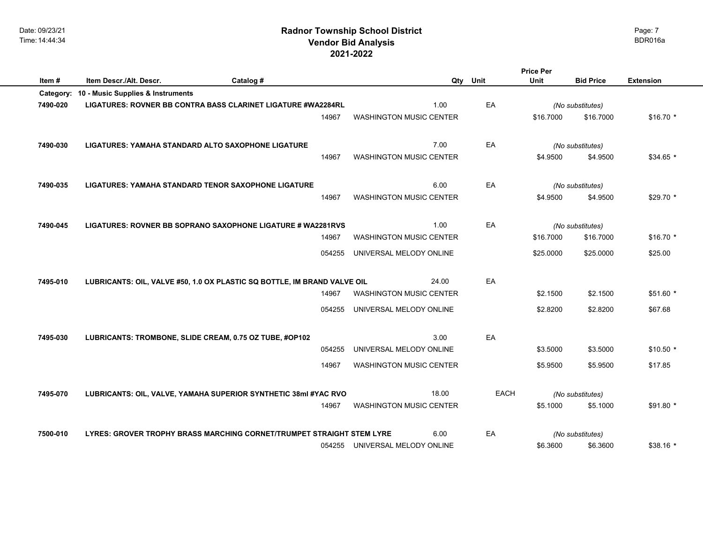|          |                                                                          |           |        |                                |     |             | Price Per |                              |                  |
|----------|--------------------------------------------------------------------------|-----------|--------|--------------------------------|-----|-------------|-----------|------------------------------|------------------|
| Item#    | Item Descr./Alt. Descr.                                                  | Catalog # |        |                                | Qty | Unit        | Unit      | <b>Bid Price</b>             | <b>Extension</b> |
|          | Category: 10 - Music Supplies & Instruments                              |           |        |                                |     |             |           |                              |                  |
| 7490-020 | LIGATURES: ROVNER BB CONTRA BASS CLARINET LIGATURE #WA2284RL             |           |        | 1.00                           |     | EA          |           | (No substitutes)             |                  |
|          |                                                                          |           | 14967  | <b>WASHINGTON MUSIC CENTER</b> |     |             | \$16,7000 | \$16,7000                    | $$16.70*$        |
|          |                                                                          |           |        |                                |     |             |           |                              |                  |
| 7490-030 | LIGATURES: YAMAHA STANDARD ALTO SAXOPHONE LIGATURE                       |           |        | 7.00                           |     | EA          |           |                              |                  |
|          |                                                                          |           |        |                                |     |             |           | (No substitutes)             |                  |
|          |                                                                          |           | 14967  | <b>WASHINGTON MUSIC CENTER</b> |     |             | \$4.9500  | \$4.9500                     | $$34.65$ *       |
|          |                                                                          |           |        |                                |     |             |           |                              |                  |
| 7490-035 | <b>LIGATURES: YAMAHA STANDARD TENOR SAXOPHONE LIGATURE</b>               |           |        | 6.00                           |     | EA          |           | (No substitutes)             |                  |
|          |                                                                          |           | 14967  | <b>WASHINGTON MUSIC CENTER</b> |     |             | \$4.9500  | \$4.9500                     | $$29.70$ *       |
|          |                                                                          |           |        |                                |     |             |           |                              |                  |
| 7490-045 | LIGATURES: ROVNER BB SOPRANO SAXOPHONE LIGATURE # WA2281RVS              |           |        | 1.00                           |     | EA          |           | (No substitutes)             |                  |
|          |                                                                          |           | 14967  | <b>WASHINGTON MUSIC CENTER</b> |     |             | \$16.7000 | \$16.7000                    | $$16.70*$        |
|          |                                                                          |           |        |                                |     |             |           |                              |                  |
|          |                                                                          |           | 054255 | UNIVERSAL MELODY ONLINE        |     |             | \$25.0000 | \$25.0000                    | \$25.00          |
|          |                                                                          |           |        |                                |     |             |           |                              |                  |
| 7495-010 | LUBRICANTS: OIL, VALVE #50, 1.0 OX PLASTIC SQ BOTTLE, IM BRAND VALVE OIL |           |        | 24.00                          |     | EA          |           |                              |                  |
|          |                                                                          |           | 14967  | <b>WASHINGTON MUSIC CENTER</b> |     |             | \$2.1500  | \$2.1500                     | $$51.60$ *       |
|          |                                                                          |           | 054255 | UNIVERSAL MELODY ONLINE        |     |             | \$2.8200  | \$2.8200                     | \$67.68          |
|          |                                                                          |           |        |                                |     |             |           |                              |                  |
|          |                                                                          |           |        |                                |     |             |           |                              |                  |
| 7495-030 | LUBRICANTS: TROMBONE, SLIDE CREAM, 0.75 OZ TUBE, #OP102                  |           |        | 3.00                           |     | EA          |           |                              |                  |
|          |                                                                          |           | 054255 | UNIVERSAL MELODY ONLINE        |     |             | \$3.5000  | \$3.5000                     | $$10.50*$        |
|          |                                                                          |           | 14967  | <b>WASHINGTON MUSIC CENTER</b> |     |             | \$5.9500  | \$5.9500                     | \$17.85          |
|          |                                                                          |           |        |                                |     |             |           |                              |                  |
| 7495-070 | LUBRICANTS: OIL, VALVE, YAMAHA SUPERIOR SYNTHETIC 38ml #YAC RVO          |           |        | 18.00                          |     | <b>EACH</b> |           |                              |                  |
|          |                                                                          |           | 14967  | <b>WASHINGTON MUSIC CENTER</b> |     |             | \$5.1000  | (No substitutes)<br>\$5.1000 | $$91.80$ *       |
|          |                                                                          |           |        |                                |     |             |           |                              |                  |
|          |                                                                          |           |        |                                |     |             |           |                              |                  |
| 7500-010 | LYRES: GROVER TROPHY BRASS MARCHING CORNET/TRUMPET STRAIGHT STEM LYRE    |           |        | 6.00                           |     | EA          |           | (No substitutes)             |                  |
|          |                                                                          |           |        | 054255 UNIVERSAL MELODY ONLINE |     |             | \$6.3600  | \$6.3600                     | $$38.16*$        |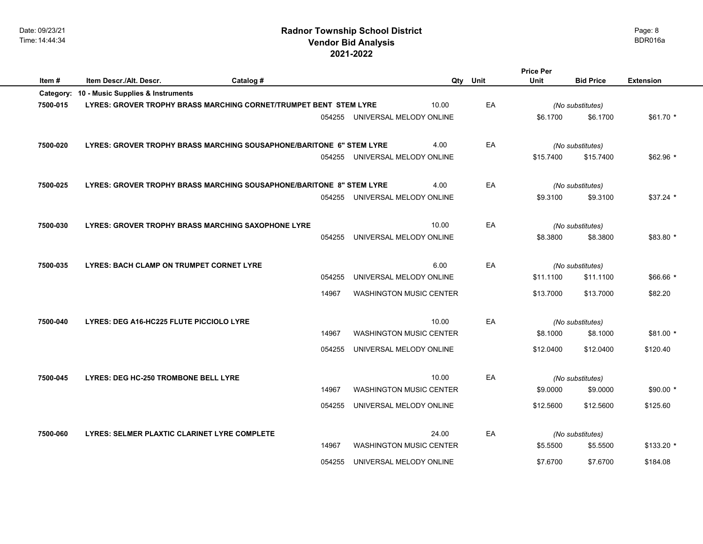|           |                                                 |                                                                      |        |                                |      | <b>Price Per</b> |                  |                  |
|-----------|-------------------------------------------------|----------------------------------------------------------------------|--------|--------------------------------|------|------------------|------------------|------------------|
| Item#     | Item Descr./Alt. Descr.                         | Catalog #                                                            |        | Qty                            | Unit | Unit             | <b>Bid Price</b> | <b>Extension</b> |
| Category: | 10 - Music Supplies & Instruments               |                                                                      |        |                                |      |                  |                  |                  |
| 7500-015  |                                                 | LYRES: GROVER TROPHY BRASS MARCHING CORNET/TRUMPET BENT STEM LYRE    |        | 10.00                          | EA   |                  | (No substitutes) |                  |
|           |                                                 |                                                                      |        | 054255 UNIVERSAL MELODY ONLINE |      | \$6.1700         | \$6.1700         | $$61.70*$        |
| 7500-020  |                                                 | LYRES: GROVER TROPHY BRASS MARCHING SOUSAPHONE/BARITONE 6" STEM LYRE |        | 4.00                           | EA   |                  | (No substitutes) |                  |
|           |                                                 |                                                                      | 054255 | UNIVERSAL MELODY ONLINE        |      | \$15.7400        | \$15.7400        | $$62.96$ *       |
| 7500-025  |                                                 | LYRES: GROVER TROPHY BRASS MARCHING SOUSAPHONE/BARITONE 8" STEM LYRE |        | 4.00                           | EA   |                  | (No substitutes) |                  |
|           |                                                 |                                                                      | 054255 | UNIVERSAL MELODY ONLINE        |      | \$9.3100         | \$9.3100         | $$37.24$ *       |
| 7500-030  |                                                 | <b>LYRES: GROVER TROPHY BRASS MARCHING SAXOPHONE LYRE</b>            |        | 10.00                          | EA   |                  | (No substitutes) |                  |
|           |                                                 |                                                                      | 054255 | UNIVERSAL MELODY ONLINE        |      | \$8.3800         | \$8.3800         | \$83.80 *        |
| 7500-035  | <b>LYRES: BACH CLAMP ON TRUMPET CORNET LYRE</b> |                                                                      |        | 6.00                           | EA   |                  | (No substitutes) |                  |
|           |                                                 |                                                                      | 054255 | UNIVERSAL MELODY ONLINE        |      | \$11.1100        | \$11.1100        | $$66.66*$        |
|           |                                                 |                                                                      | 14967  | <b>WASHINGTON MUSIC CENTER</b> |      | \$13.7000        | \$13.7000        | \$82.20          |
| 7500-040  | LYRES: DEG A16-HC225 FLUTE PICCIOLO LYRE        |                                                                      |        | 10.00                          | EA   |                  | (No substitutes) |                  |
|           |                                                 |                                                                      | 14967  | <b>WASHINGTON MUSIC CENTER</b> |      | \$8.1000         | \$8.1000         | $$81.00*$        |
|           |                                                 |                                                                      | 054255 | UNIVERSAL MELODY ONLINE        |      | \$12.0400        | \$12.0400        | \$120.40         |
| 7500-045  | <b>LYRES: DEG HC-250 TROMBONE BELL LYRE</b>     |                                                                      |        | 10.00                          | EA   |                  | (No substitutes) |                  |
|           |                                                 |                                                                      | 14967  | <b>WASHINGTON MUSIC CENTER</b> |      | \$9.0000         | \$9.0000         | $$90.00*$        |
|           |                                                 |                                                                      | 054255 | UNIVERSAL MELODY ONLINE        |      | \$12.5600        | \$12.5600        | \$125.60         |

| 7500-060 | LYRES: SELMER PLAXTIC CLARINET LYRE COMPLETE |        | 24.00                   | FΔ | (No substitutes) |          |             |
|----------|----------------------------------------------|--------|-------------------------|----|------------------|----------|-------------|
|          |                                              | 14967  | WASHINGTON MUSIC CENTER |    | \$5.5500         | \$5.5500 | $$133.20$ * |
|          |                                              | 054255 | UNIVERSAL MELODY ONLINE |    | \$7.6700         | \$7.6700 | \$184.08    |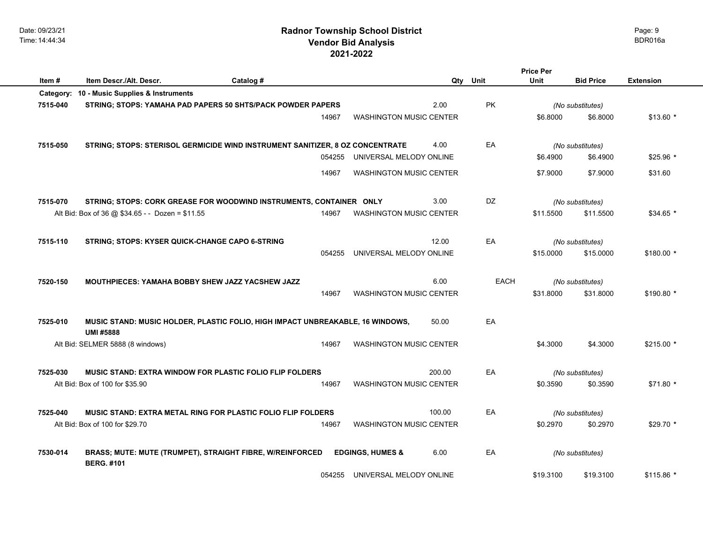**Item #** Item Descr./Alt. Descr. <br> **Catalog # Catalog # Catalog # Qty** Unit Unit Bid Price Extension

**BERG. #101** 

|          | Category: 10 - Music Supplies & Instruments                                                       |        |                                |        |             |           |                               |            |
|----------|---------------------------------------------------------------------------------------------------|--------|--------------------------------|--------|-------------|-----------|-------------------------------|------------|
| 7515-040 | <b>STRING; STOPS: YAMAHA PAD PAPERS 50 SHTS/PACK POWDER PAPERS</b>                                |        |                                | 2.00   | <b>PK</b>   |           | (No substitutes)              |            |
|          |                                                                                                   | 14967  | <b>WASHINGTON MUSIC CENTER</b> |        |             | \$6.8000  | \$6.8000                      | $$13.60*$  |
|          |                                                                                                   |        |                                |        |             |           |                               |            |
| 7515-050 | STRING; STOPS: STERISOL GERMICIDE WIND INSTRUMENT SANITIZER, 8 OZ CONCENTRATE                     |        |                                | 4.00   | EA          |           | (No substitutes)              |            |
|          |                                                                                                   | 054255 | UNIVERSAL MELODY ONLINE        |        |             | \$6.4900  | \$6.4900                      | $$25.96$ * |
|          |                                                                                                   | 14967  | <b>WASHINGTON MUSIC CENTER</b> |        |             | \$7.9000  | \$7.9000                      | \$31.60    |
| 7515-070 | STRING; STOPS: CORK GREASE FOR WOODWIND INSTRUMENTS, CONTAINER ONLY                               |        |                                | 3.00   | DZ          |           |                               |            |
|          | Alt Bid: Box of 36 @ \$34.65 - - Dozen = \$11.55                                                  | 14967  | <b>WASHINGTON MUSIC CENTER</b> |        |             | \$11.5500 | (No substitutes)<br>\$11.5500 | $$34.65$ * |
|          |                                                                                                   |        |                                |        |             |           |                               |            |
| 7515-110 | STRING; STOPS: KYSER QUICK-CHANGE CAPO 6-STRING                                                   |        |                                | 12.00  | EA          |           | (No substitutes)              |            |
|          |                                                                                                   | 054255 | UNIVERSAL MELODY ONLINE        |        |             | \$15.0000 | \$15.0000                     | \$180.00 * |
|          |                                                                                                   |        |                                |        |             |           |                               |            |
| 7520-150 | <b>MOUTHPIECES: YAMAHA BOBBY SHEW JAZZ YACSHEW JAZZ</b>                                           |        |                                | 6.00   | <b>EACH</b> |           | (No substitutes)              |            |
|          |                                                                                                   | 14967  | <b>WASHINGTON MUSIC CENTER</b> |        |             | \$31.8000 | \$31.8000                     | \$190.80 * |
| 7525-010 |                                                                                                   |        |                                | 50.00  | EA          |           |                               |            |
|          | MUSIC STAND: MUSIC HOLDER, PLASTIC FOLIO, HIGH IMPACT UNBREAKABLE, 16 WINDOWS,<br><b>UMI#5888</b> |        |                                |        |             |           |                               |            |
|          | Alt Bid: SELMER 5888 (8 windows)                                                                  | 14967  | <b>WASHINGTON MUSIC CENTER</b> |        |             | \$4.3000  | \$4.3000                      | $$215.00*$ |
|          |                                                                                                   |        |                                |        |             |           |                               |            |
| 7525-030 | <b>MUSIC STAND: EXTRA WINDOW FOR PLASTIC FOLIO FLIP FOLDERS</b>                                   |        |                                | 200.00 | EA          |           | (No substitutes)              |            |
|          | Alt Bid: Box of 100 for \$35.90                                                                   | 14967  | <b>WASHINGTON MUSIC CENTER</b> |        |             | \$0.3590  | \$0.3590                      | $$71.80*$  |
|          |                                                                                                   |        |                                |        |             |           |                               |            |
| 7525-040 | <b>MUSIC STAND: EXTRA METAL RING FOR PLASTIC FOLIO FLIP FOLDERS</b>                               |        |                                | 100.00 | EA          |           | (No substitutes)              |            |
|          | Alt Bid: Box of 100 for \$29.70                                                                   | 14967  | <b>WASHINGTON MUSIC CENTER</b> |        |             | \$0.2970  | \$0.2970                      | \$29.70 *  |
| 7530-014 | <b>BRASS; MUTE: MUTE (TRUMPET), STRAIGHT FIBRE, W/REINFORCED</b>                                  |        | <b>EDGINGS, HUMES &amp;</b>    | 6.00   | EA          |           | (No substitutes)              |            |

Page: 9

**Price Per Unit**

054255 UNIVERSAL MELODY ONLINE \$19.3100 \$19.3100 \$115.86 \*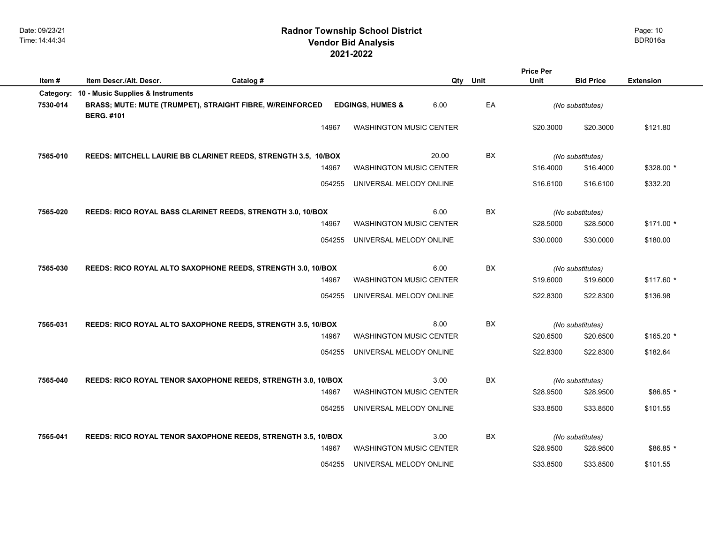| Item#    | Item Descr./Alt. Descr.                     | Catalog #                                                              | Qty                                    | Unit | Unit      | <b>Bid Price</b>              | <b>Extension</b> |
|----------|---------------------------------------------|------------------------------------------------------------------------|----------------------------------------|------|-----------|-------------------------------|------------------|
|          | Category: 10 - Music Supplies & Instruments |                                                                        |                                        |      |           |                               |                  |
| 7530-014 | <b>BERG. #101</b>                           | BRASS; MUTE: MUTE (TRUMPET), STRAIGHT FIBRE, W/REINFORCED              | 6.00<br><b>EDGINGS, HUMES &amp;</b>    | EA   |           | (No substitutes)              |                  |
|          |                                             | 14967                                                                  | <b>WASHINGTON MUSIC CENTER</b>         |      | \$20.3000 | \$20.3000                     | \$121.80         |
|          |                                             |                                                                        |                                        |      |           |                               |                  |
| 7565-010 |                                             | REEDS: MITCHELL LAURIE BB CLARINET REEDS, STRENGTH 3.5, 10/BOX         | 20.00                                  | BX   |           | (No substitutes)              |                  |
|          |                                             | 14967                                                                  | <b>WASHINGTON MUSIC CENTER</b>         |      | \$16,4000 | \$16.4000                     | \$328.00 *       |
|          |                                             | 054255                                                                 | UNIVERSAL MELODY ONLINE                |      | \$16.6100 | \$16,6100                     | \$332.20         |
| 7565-020 |                                             | REEDS: RICO ROYAL BASS CLARINET REEDS, STRENGTH 3.0, 10/BOX            | 6.00                                   | BX   |           | (No substitutes)              |                  |
|          |                                             | 14967                                                                  | <b>WASHINGTON MUSIC CENTER</b>         |      | \$28.5000 | \$28.5000                     | $$171.00*$       |
|          |                                             | 054255                                                                 | UNIVERSAL MELODY ONLINE                |      | \$30,0000 | \$30.0000                     | \$180.00         |
|          |                                             |                                                                        | 6.00                                   | BX   |           |                               |                  |
| 7565-030 |                                             | REEDS: RICO ROYAL ALTO SAXOPHONE REEDS, STRENGTH 3.0, 10/BOX<br>14967  | <b>WASHINGTON MUSIC CENTER</b>         |      | \$19.6000 | (No substitutes)<br>\$19.6000 | $$117.60*$       |
|          |                                             |                                                                        |                                        |      |           |                               |                  |
|          |                                             | 054255                                                                 | UNIVERSAL MELODY ONLINE                |      | \$22.8300 | \$22.8300                     | \$136.98         |
| 7565-031 |                                             | REEDS: RICO ROYAL ALTO SAXOPHONE REEDS, STRENGTH 3.5, 10/BOX           | 8.00                                   | BX   |           | (No substitutes)              |                  |
|          |                                             | 14967                                                                  | <b>WASHINGTON MUSIC CENTER</b>         |      | \$20,6500 | \$20.6500                     | $$165.20$ *      |
|          |                                             | 054255                                                                 | UNIVERSAL MELODY ONLINE                |      | \$22.8300 | \$22.8300                     | \$182.64         |
|          |                                             |                                                                        |                                        |      |           |                               |                  |
| 7565-040 |                                             | REEDS: RICO ROYAL TENOR SAXOPHONE REEDS, STRENGTH 3.0, 10/BOX<br>14967 | 3.00<br><b>WASHINGTON MUSIC CENTER</b> | BX   | \$28.9500 | (No substitutes)<br>\$28.9500 | $$86.85$ *       |
|          |                                             | 054255                                                                 | UNIVERSAL MELODY ONLINE                |      | \$33.8500 | \$33.8500                     | \$101.55         |
|          |                                             |                                                                        |                                        |      |           |                               |                  |
| 7565-041 |                                             | REEDS: RICO ROYAL TENOR SAXOPHONE REEDS, STRENGTH 3.5, 10/BOX          | 3.00                                   | BX   |           | (No substitutes)              |                  |
|          |                                             | 14967                                                                  | <b>WASHINGTON MUSIC CENTER</b>         |      | \$28.9500 | \$28.9500                     | $$86.85$ *       |
|          |                                             | 054255                                                                 | UNIVERSAL MELODY ONLINE                |      | \$33.8500 | \$33.8500                     | \$101.55         |

**Price Per**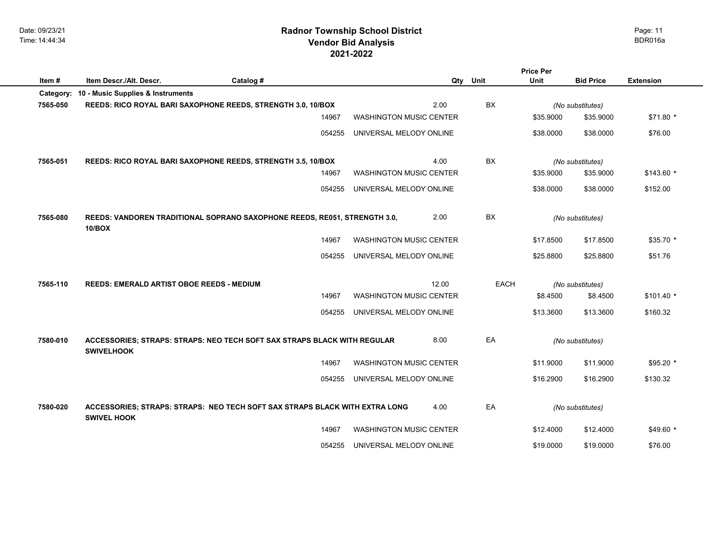Date: 09/23/21 Time: 14:44:34

# **2021-2022 Radnor Township School District Vendor Bid Analysis** BDR016a

|           |                                                                                            |           |                                |       |      | <b>Price Per</b> |                  |                  |
|-----------|--------------------------------------------------------------------------------------------|-----------|--------------------------------|-------|------|------------------|------------------|------------------|
| Item#     | Item Descr./Alt. Descr.                                                                    | Catalog # |                                | Qty   | Unit | Unit             | <b>Bid Price</b> | <b>Extension</b> |
| Category: | 10 - Music Supplies & Instruments                                                          |           |                                |       |      |                  |                  |                  |
| 7565-050  | REEDS: RICO ROYAL BARI SAXOPHONE REEDS, STRENGTH 3.0, 10/BOX                               |           |                                | 2.00  | BX   |                  | (No substitutes) |                  |
|           |                                                                                            | 14967     | <b>WASHINGTON MUSIC CENTER</b> |       |      | \$35.9000        | \$35.9000        | $$71.80*$        |
|           |                                                                                            | 054255    | UNIVERSAL MELODY ONLINE        |       |      | \$38.0000        | \$38.0000        | \$76.00          |
|           |                                                                                            |           |                                |       |      |                  |                  |                  |
| 7565-051  | REEDS: RICO ROYAL BARI SAXOPHONE REEDS, STRENGTH 3.5, 10/BOX                               |           |                                | 4.00  | BX   |                  | (No substitutes) |                  |
|           |                                                                                            | 14967     | <b>WASHINGTON MUSIC CENTER</b> |       |      | \$35.9000        | \$35.9000        | $$143.60$ *      |
|           |                                                                                            | 054255    | UNIVERSAL MELODY ONLINE        |       |      | \$38.0000        | \$38.0000        | \$152.00         |
| 7565-080  | REEDS: VANDOREN TRADITIONAL SOPRANO SAXOPHONE REEDS, RE051, STRENGTH 3.0,<br><b>10/BOX</b> |           |                                | 2.00  | BX   |                  | (No substitutes) |                  |
|           |                                                                                            | 14967     | <b>WASHINGTON MUSIC CENTER</b> |       |      | \$17.8500        | \$17.8500        | $$35.70*$        |
|           |                                                                                            | 054255    | UNIVERSAL MELODY ONLINE        |       |      | \$25,8800        | \$25,8800        | \$51.76          |
|           |                                                                                            |           |                                |       |      |                  |                  |                  |
| 7565-110  | REEDS: EMERALD ARTIST OBOE REEDS - MEDIUM                                                  |           |                                | 12.00 | EACH |                  | (No substitutes) |                  |
|           |                                                                                            | 14967     | <b>WASHINGTON MUSIC CENTER</b> |       |      | \$8.4500         | \$8.4500         | $$101.40$ *      |
|           |                                                                                            | 054255    | UNIVERSAL MELODY ONLINE        |       |      | \$13.3600        | \$13.3600        | \$160.32         |
| 7580-010  | ACCESSORIES; STRAPS: STRAPS: NEO TECH SOFT SAX STRAPS BLACK WITH REGULAR                   |           |                                | 8.00  | EA   |                  |                  |                  |
|           | <b>SWIVELHOOK</b>                                                                          |           |                                |       |      |                  | (No substitutes) |                  |
|           |                                                                                            | 14967     | <b>WASHINGTON MUSIC CENTER</b> |       |      | \$11.9000        | \$11.9000        | $$95.20$ *       |
|           |                                                                                            | 054255    | UNIVERSAL MELODY ONLINE        |       |      | \$16,2900        | \$16,2900        | \$130.32         |
| 7580-020  | ACCESSORIES; STRAPS: STRAPS: NEO TECH SOFT SAX STRAPS BLACK WITH EXTRA LONG                |           |                                | 4.00  | EA   |                  | (No substitutes) |                  |
|           | <b>SWIVEL HOOK</b>                                                                         |           |                                |       |      |                  |                  |                  |
|           |                                                                                            | 14967     | <b>WASHINGTON MUSIC CENTER</b> |       |      | \$12,4000        | \$12.4000        | $$49.60*$        |
|           |                                                                                            | 054255    | UNIVERSAL MELODY ONLINE        |       |      | \$19.0000        | \$19.0000        | \$76.00          |